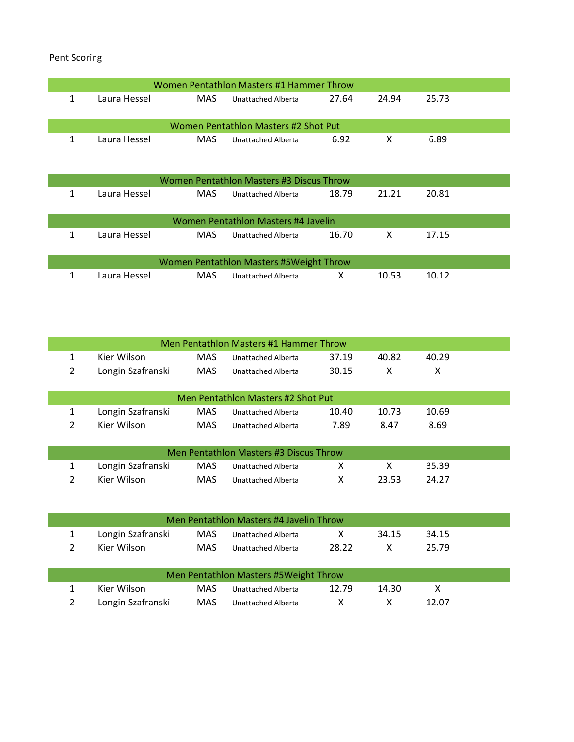Pent Scoring

|   |              |            | Women Pentathlon Masters #1 Hammer Throw |       |       |       |  |
|---|--------------|------------|------------------------------------------|-------|-------|-------|--|
| 1 | Laura Hessel | MAS.       | Unattached Alberta                       | 27.64 | 24.94 | 25.73 |  |
|   |              |            | Women Pentathlon Masters #2 Shot Put     |       |       |       |  |
| 1 | Laura Hessel | MAS.       | Unattached Alberta                       | 6.92  | X     | 6.89  |  |
|   |              |            | Women Pentathlon Masters #3 Discus Throw |       |       |       |  |
| 1 | Laura Hessel | MAS.       | Unattached Alberta                       | 18.79 | 21.21 | 20.81 |  |
|   |              |            | Women Pentathlon Masters #4 Javelin      |       |       |       |  |
| 1 | Laura Hessel | MAS        | Unattached Alberta                       | 16.70 | X     | 17.15 |  |
|   |              |            | Women Pentathlon Masters #5Weight Throw  |       |       |       |  |
| 1 | Laura Hessel | <b>MAS</b> | Unattached Alberta                       | X     | 10.53 | 10.12 |  |

|   |                   |            | Men Pentathlon Masters #1 Hammer Throw |       |       |       |  |
|---|-------------------|------------|----------------------------------------|-------|-------|-------|--|
| 1 | Kier Wilson       | <b>MAS</b> | Unattached Alberta                     | 37.19 | 40.82 | 40.29 |  |
| 2 | Longin Szafranski | <b>MAS</b> | Unattached Alberta                     | 30.15 | x     | x     |  |
|   |                   |            |                                        |       |       |       |  |
|   |                   |            | Men Pentathlon Masters #2 Shot Put     |       |       |       |  |
| 1 | Longin Szafranski | <b>MAS</b> | Unattached Alberta                     | 10.40 | 10.73 | 10.69 |  |
| 2 | Kier Wilson       | <b>MAS</b> | Unattached Alberta                     | 7.89  | 8.47  | 8.69  |  |
|   |                   |            |                                        |       |       |       |  |
|   |                   |            | Men Pentathlon Masters #3 Discus Throw |       |       |       |  |
|   | Longin Szafranski | <b>MAS</b> | Unattached Alberta                     | x     | х     | 35.39 |  |
| 2 | Kier Wilson       | <b>MAS</b> | Unattached Alberta                     | χ     | 23.53 | 24.27 |  |

|                   |      | Men Pentathlon Masters #4 Javelin Throw |       |       |       |  |
|-------------------|------|-----------------------------------------|-------|-------|-------|--|
| Longin Szafranski | MAS  | Unattached Alberta                      | X.    | 34.15 | 34.15 |  |
| Kier Wilson       | MAS. | Unattached Alberta                      | 28.22 |       | 25.79 |  |
|                   |      |                                         |       |       |       |  |
|                   |      | Men Pentathlon Masters #5Weight Throw   |       |       |       |  |

|                   | Men Pentathlon Masters #5Weight Throw |       |       |       |  |
|-------------------|---------------------------------------|-------|-------|-------|--|
| Kier Wilson       | MAS Unattached Alberta                | 12.79 | 14.30 |       |  |
| Longin Szafranski | MAS Unattached Alberta                |       |       | 12.07 |  |